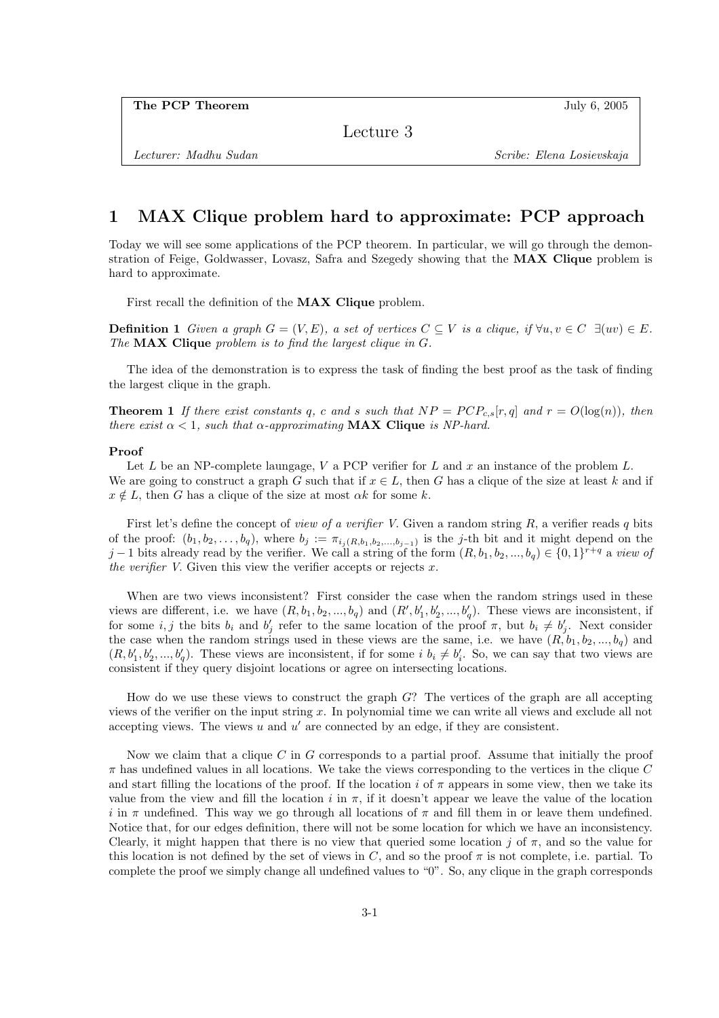Lecture 3

## 1 MAX Clique problem hard to approximate: PCP approach

Today we will see some applications of the PCP theorem. In particular, we will go through the demonstration of Feige, Goldwasser, Lovasz, Safra and Szegedy showing that the MAX Clique problem is hard to approximate.

First recall the definition of the MAX Clique problem.

**Definition 1** Given a graph  $G = (V, E)$ , a set of vertices  $C \subseteq V$  is a clique, if  $\forall u, v \in C \exists (uv) \in E$ . The **MAX Clique** problem is to find the largest clique in G.

The idea of the demonstration is to express the task of finding the best proof as the task of finding the largest clique in the graph.

**Theorem 1** If there exist constants q, c and s such that  $NP = PCP_{c,s}[r,q]$  and  $r = O(\log(n))$ , then there exist  $\alpha < 1$ , such that  $\alpha$ -approximating **MAX Clique** is NP-hard.

## Proof

Let L be an NP-complete laungage, V a PCP verifier for L and x an instance of the problem  $L$ . We are going to construct a graph G such that if  $x \in L$ , then G has a clique of the size at least k and if  $x \notin L$ , then G has a clique of the size at most  $\alpha k$  for some k.

First let's define the concept of *view of a verifier V*. Given a random string  $R$ , a verifier reads q bits of the proof:  $(b_1, b_2, \ldots, b_q)$ , where  $b_j := \pi_{i_j(R, b_1, b_2, \ldots, b_{j-1})}$  is the j-th bit and it might depend on the j − 1 bits already read by the verifier. We call a string of the form  $(R, b_1, b_2, ..., b_q) \in \{0, 1\}^{r+q}$  a view of the verifier V. Given this view the verifier accepts or rejects  $x$ .

When are two views inconsistent? First consider the case when the random strings used in these views are different, i.e. we have  $(R, b_1, b_2, ..., b_q)$  and  $(R', b'_1, b'_2, ..., b'_q)$ . These views are inconsistent, if for some i, j the bits  $b_i$  and  $b'_j$  refer to the same location of the proof  $\pi$ , but  $b_i \neq b'_j$ . Next consider the case when the random strings used in these views are the same, i.e. we have  $(R, b_1, b_2, ..., b_q)$  and  $(R, b'_1, b'_2, ..., b'_q)$ . These views are inconsistent, if for some  $i, b_i \neq b'_i$ . So, we can say that two views are consistent if they query disjoint locations or agree on intersecting locations.

How do we use these views to construct the graph  $G$ ? The vertices of the graph are all accepting views of the verifier on the input string x. In polynomial time we can write all views and exclude all not accepting views. The views  $u$  and  $u'$  are connected by an edge, if they are consistent.

Now we claim that a clique  $C$  in  $G$  corresponds to a partial proof. Assume that initially the proof  $\pi$  has undefined values in all locations. We take the views corresponding to the vertices in the clique C and start filling the locations of the proof. If the location i of  $\pi$  appears in some view, then we take its value from the view and fill the location i in  $\pi$ , if it doesn't appear we leave the value of the location i in  $\pi$  undefined. This way we go through all locations of  $\pi$  and fill them in or leave them undefined. Notice that, for our edges definition, there will not be some location for which we have an inconsistency. Clearly, it might happen that there is no view that queried some location j of  $\pi$ , and so the value for this location is not defined by the set of views in C, and so the proof  $\pi$  is not complete, i.e. partial. To complete the proof we simply change all undefined values to "0". So, any clique in the graph corresponds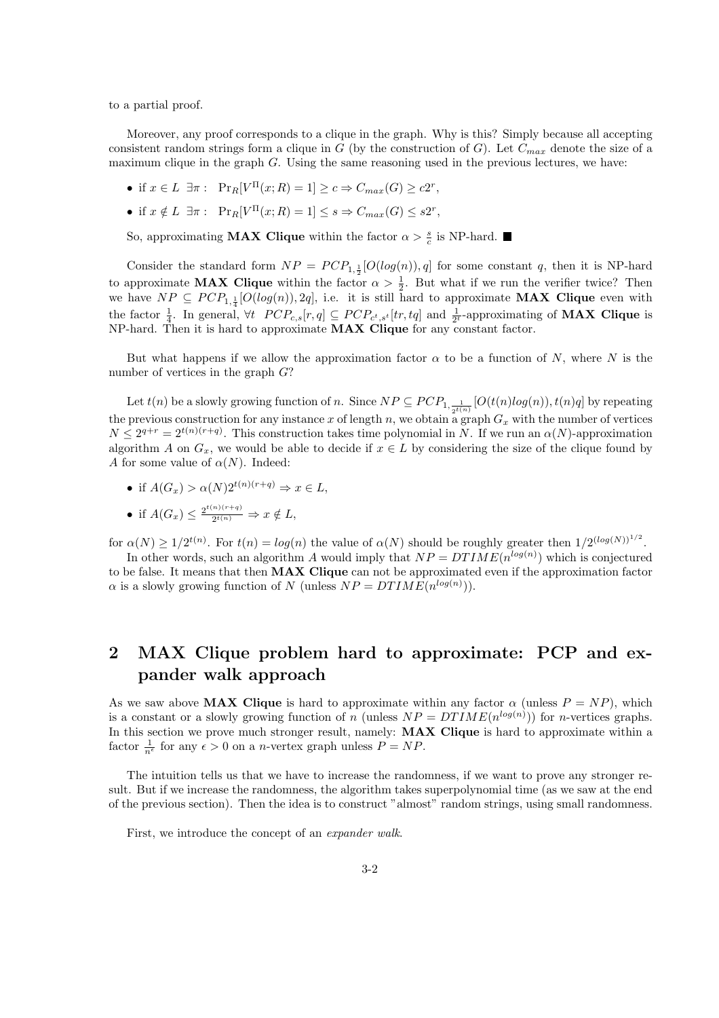to a partial proof.

Moreover, any proof corresponds to a clique in the graph. Why is this? Simply because all accepting consistent random strings form a clique in G (by the construction of G). Let  $C_{max}$  denote the size of a maximum clique in the graph G. Using the same reasoning used in the previous lectures, we have:

- if  $x \in L$   $\exists \pi : \text{Pr}_R[V^{\Pi}(x;R) = 1] \ge c \Rightarrow C_{max}(G) \ge c2^r$ ,
- if  $x \notin L$   $\exists \pi : \mathrm{Pr}_R[V^{\Pi}(x;R) = 1] \leq s \Rightarrow C_{max}(G) \leq s2^r$ ,

So, approximating **MAX Clique** within the factor  $\alpha > \frac{s}{c}$  is NP-hard.

Consider the standard form  $NP = PCP_{1, \frac{1}{2}}[O(log(n)), q]$  for some constant q, then it is NP-hard to approximate **MAX Clique** within the factor  $\alpha > \frac{1}{2}$ . But what if we run the verifier twice? Then we have  $NP \subseteq PCP_{1,\frac{1}{4}}[O(log(n)), 2q]$ , i.e. it is still hard to approximate **MAX Clique** even with the factor  $\frac{1}{4}$ . In general,  $\forall t$   $PCP_{c,s}[r,q] \subseteq PCP_{c^t,s^t}[tr,tq]$  and  $\frac{1}{2^t}$ -approximating of **MAX Clique** is NP-hard. Then it is hard to approximate MAX Clique for any constant factor.

But what happens if we allow the approximation factor  $\alpha$  to be a function of N, where N is the number of vertices in the graph  $G$ ?

Let  $t(n)$  be a slowly growing function of n. Since  $NP \subseteq PCP_{1,\frac{1}{2^{t(n)}}}[O(t(n)log(n)), t(n)q]$  by repeating the previous construction for any instance x of length n, we obtain a graph  $G_x$  with the number of vertices  $N \leq 2^{q+r} = 2^{t(n)(r+q)}$ . This construction takes time polynomial in N. If we run an  $\alpha(N)$ -approximation algorithm A on  $G_x$ , we would be able to decide if  $x \in L$  by considering the size of the clique found by A for some value of  $\alpha(N)$ . Indeed:

- if  $A(G_r) > \alpha(N)2^{t(n)(r+q)} \Rightarrow x \in L$ ,
- if  $A(G_x) \leq \frac{2^{t(n)(r+q)}}{2^{t(n)}}$  $\frac{f^{(n)}(x+q)}{2^{t(n)}} \Rightarrow x \notin L,$

for  $\alpha(N) \geq 1/2^{t(n)}$ . For  $t(n) = log(n)$  the value of  $\alpha(N)$  should be roughly greater then  $1/2^{(log(N))^{1/2}}$ .

In other words, such an algorithm A would imply that  $NP = DTIME(n^{log(n)})$  which is conjectured to be false. It means that then MAX Clique can not be approximated even if the approximation factor  $\alpha$  is a slowly growing function of N (unless  $NP = DTIME(n^{log(n)}))$ .

## 2 MAX Clique problem hard to approximate: PCP and expander walk approach

As we saw above **MAX Clique** is hard to approximate within any factor  $\alpha$  (unless  $P = NP$ ), which is a constant or a slowly growing function of n (unless  $NP = DTIME(n^{log(n)})$ ) for n-vertices graphs. In this section we prove much stronger result, namely: **MAX Clique** is hard to approximate within a factor  $\frac{1}{n^{\epsilon}}$  for any  $\epsilon > 0$  on a *n*-vertex graph unless  $P = NP$ .

The intuition tells us that we have to increase the randomness, if we want to prove any stronger result. But if we increase the randomness, the algorithm takes superpolynomial time (as we saw at the end of the previous section). Then the idea is to construct "almost" random strings, using small randomness.

First, we introduce the concept of an expander walk.